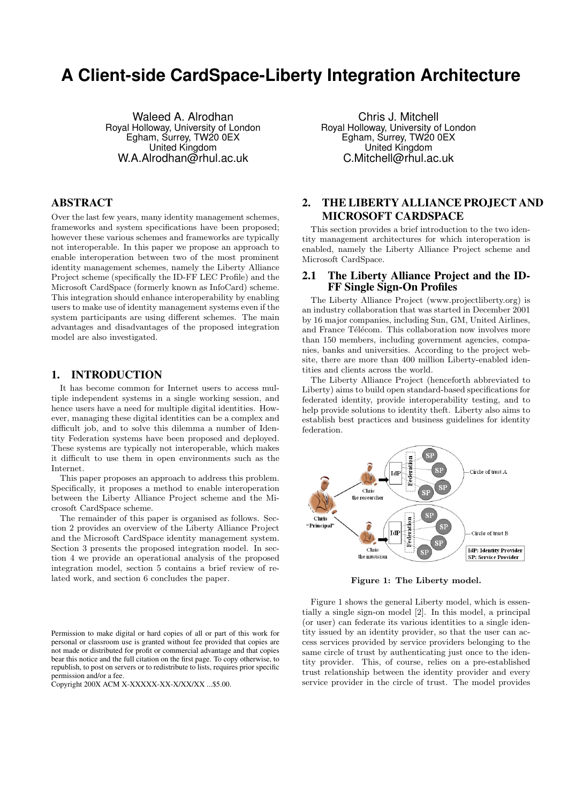# **A Client-side CardSpace-Liberty Integration Architecture**

Waleed A. Alrodhan Royal Holloway, University of London Egham, Surrey, TW20 0EX United Kingdom W.A.Alrodhan@rhul.ac.uk

## ABSTRACT

Over the last few years, many identity management schemes, frameworks and system specifications have been proposed; however these various schemes and frameworks are typically not interoperable. In this paper we propose an approach to enable interoperation between two of the most prominent identity management schemes, namely the Liberty Alliance Project scheme (specifically the ID-FF LEC Profile) and the Microsoft CardSpace (formerly known as InfoCard) scheme. This integration should enhance interoperability by enabling users to make use of identity management systems even if the system participants are using different schemes. The main advantages and disadvantages of the proposed integration model are also investigated.

#### 1. INTRODUCTION

It has become common for Internet users to access multiple independent systems in a single working session, and hence users have a need for multiple digital identities. However, managing these digital identities can be a complex and difficult job, and to solve this dilemma a number of Identity Federation systems have been proposed and deployed. These systems are typically not interoperable, which makes it difficult to use them in open environments such as the Internet.

This paper proposes an approach to address this problem. Specifically, it proposes a method to enable interoperation between the Liberty Alliance Project scheme and the Microsoft CardSpace scheme.

The remainder of this paper is organised as follows. Section 2 provides an overview of the Liberty Alliance Project and the Microsoft CardSpace identity management system. Section 3 presents the proposed integration model. In section 4 we provide an operational analysis of the proposed integration model, section 5 contains a brief review of related work, and section 6 concludes the paper.

Permission to make digital or hard copies of all or part of this work for personal or classroom use is granted without fee provided that copies are not made or distributed for profit or commercial advantage and that copies bear this notice and the full citation on the first page. To copy otherwise, to republish, to post on servers or to redistribute to lists, requires prior specific permission and/or a fee.

Copyright 200X ACM X-XXXXX-XX-X/XX/XX ...\$5.00.

Chris J. Mitchell Royal Holloway, University of London Egham, Surrey, TW20 0EX United Kingdom C.Mitchell@rhul.ac.uk

# 2. THE LIBERTY ALLIANCE PROJECT AND MICROSOFT CARDSPACE

This section provides a brief introduction to the two identity management architectures for which interoperation is enabled, namely the Liberty Alliance Project scheme and Microsoft CardSpace.

## 2.1 The Liberty Alliance Project and the ID-FF Single Sign-On Profiles

The Liberty Alliance Project (www.projectliberty.org) is an industry collaboration that was started in December 2001 by 16 major companies, including Sun, GM, United Airlines, and France Télécom. This collaboration now involves more than 150 members, including government agencies, companies, banks and universities. According to the project website, there are more than 400 million Liberty-enabled identities and clients across the world.

The Liberty Alliance Project (henceforth abbreviated to Liberty) aims to build open standard-based specifications for federated identity, provide interoperability testing, and to help provide solutions to identity theft. Liberty also aims to establish best practices and business guidelines for identity federation.



Figure 1: The Liberty model.

Figure 1 shows the general Liberty model, which is essentially a single sign-on model [2]. In this model, a principal (or user) can federate its various identities to a single identity issued by an identity provider, so that the user can access services provided by service providers belonging to the same circle of trust by authenticating just once to the identity provider. This, of course, relies on a pre-established trust relationship between the identity provider and every service provider in the circle of trust. The model provides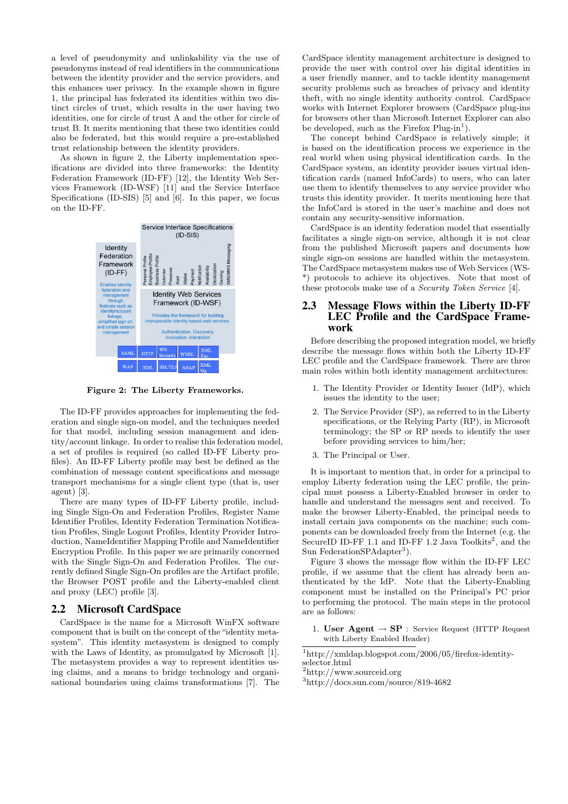a level of pseudonymity and unlinkability via the use of pseudonyms instead of real identifiers in the communications between the identity provider and the service providers, and this enhances user privacy. In the example shown in figure 1, the principal has federated its identities within two distinct circles of trust, which results in the user having two identities, one for circle of trust A and the other for circle of trust B. It merits mentioning that these two identities could also be federated, but this would require a pre-established trust relationship between the identity providers.

As shown in figure 2, the Liberty implementation specifications are divided into three frameworks: the Identity Federation Framework (ID-FF) [12], the Identity Web Services Framework (ID-WSF) [11] and the Service Interface Specifications (ID-SIS) [5] and [6]. In this paper, we focus on the ID-FF.



Figure 2: The Liberty Frameworks.

The ID-FF provides approaches for implementing the federation and single sign-on model, and the techniques needed for that model, including session management and identity/account linkage. In order to realise this federation model, a set of profiles is required (so called ID-FF Liberty profiles). An ID-FF Liberty profile may best be defined as the combination of message content specifications and message transport mechanisms for a single client type (that is, user agent) [3].

There are many types of ID-FF Liberty profile, including Single Sign-On and Federation Profiles, Register Name Identifier Profiles, Identity Federation Termination Notification Profiles, Single Logout Profiles, Identity Provider Introduction, NameIdentifier Mapping Profile and NameIdentifier Encryption Profile. In this paper we are primarily concerned with the Single Sign-On and Federation Profiles. The currently defined Single Sign-On profiles are the Artifact profile, the Browser POST profile and the Liberty-enabled client and proxy (LEC) profile [3].

#### 2.2 Microsoft CardSpace

CardSpace is the name for a Microsoft WinFX software component that is built on the concept of the "identity metasystem". This identity metasystem is designed to comply with the Laws of Identity, as promulgated by Microsoft [1]. The metasystem provides a way to represent identities using claims, and a means to bridge technology and organisational boundaries using claims transformations [7]. The

CardSpace identity management architecture is designed to provide the user with control over his digital identities in a user friendly manner, and to tackle identity management security problems such as breaches of privacy and identity theft, with no single identity authority control. CardSpace works with Internet Explorer browsers (CardSpace plug-ins for browsers other than Microsoft Internet Explorer can also be developed, such as the Firefox  $Plug-in<sup>1</sup>$ ).

The concept behind CardSpace is relatively simple; it is based on the identification process we experience in the real world when using physical identification cards. In the CardSpace system, an identity provider issues virtual identification cards (named InfoCards) to users, who can later use them to identify themselves to any service provider who trusts this identity provider. It merits mentioning here that the InfoCard is stored in the user's machine and does not contain any security-sensitive information.

CardSpace is an identity federation model that essentially facilitates a single sign-on service, although it is not clear from the published Microsoft papers and documents how single sign-on sessions are handled within the metasystem. The CardSpace metasystem makes use of Web Services (WS- \*) protocols to achieve its objectives. Note that most of these protocols make use of a Security Token Service [4].

#### 2.3 Message Flows within the Liberty ID-FF LEC Profile and the CardSpace Framework

Before describing the proposed integration model, we briefly describe the message flows within both the Liberty ID-FF LEC profile and the CardSpace framework. There are three main roles within both identity management architectures:

- 1. The Identity Provider or Identity Issuer (IdP), which issues the identity to the user;
- 2. The Service Provider (SP), as referred to in the Liberty specifications, or the Relying Party (RP), in Microsoft terminology; the SP or RP needs to identify the user before providing services to him/her;
- 3. The Principal or User.

It is important to mention that, in order for a principal to employ Liberty federation using the LEC profile, the principal must possess a Liberty-Enabled browser in order to handle and understand the messages sent and received. To make the browser Liberty-Enabled, the principal needs to install certain java components on the machine; such components can be downloaded freely from the Internet (e.g. the SecureID ID-FF 1.1 and ID-FF 1.2 Java Toolkits<sup>2</sup>, and the Sun FederationSPAdapter<sup>3</sup>).

Figure 3 shows the message flow within the ID-FF LEC profile, if we assume that the client has already been authenticated by the IdP. Note that the Liberty-Enabling component must be installed on the Principal's PC prior to performing the protocol. The main steps in the protocol are as follows:

1. User Agent  $\rightarrow$  SP : Service Request (HTTP Request with Liberty Enabled Header)

 $\frac{1}{1}$ http://xmldap.blogspot.com/2006/05/firefox-identityselector.html

<sup>2</sup>http://www.sourceid.org

<sup>3</sup>http://docs.sun.com/source/819-4682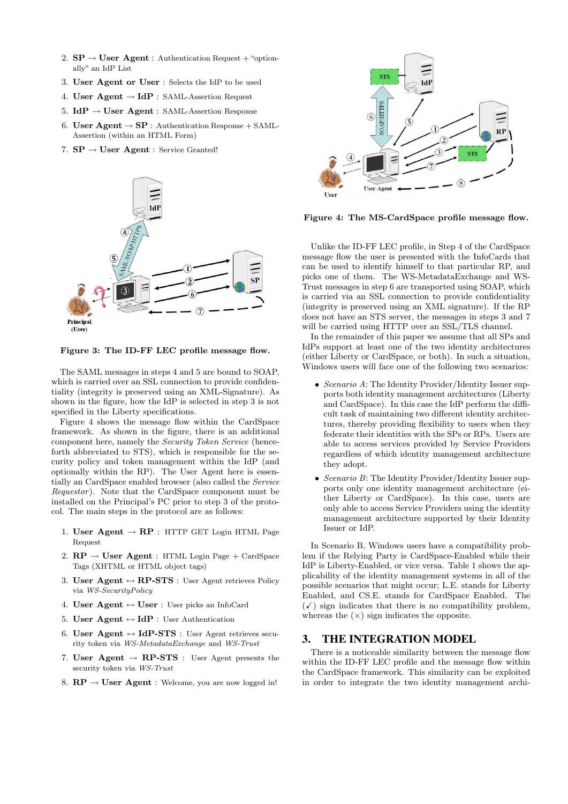- 2.  $SP \rightarrow User Agent$ : Authentication Request + "optionally" an IdP List
- 3. User Agent or User : Selects the IdP to be used
- 4. User  $Agent \rightarrow IdP$ : SAML-Assertion Request
- 5. Id $P \rightarrow$  User Agent : SAML-Assertion Response
- 6. User  $Agent \rightarrow SP:$  Authentication Response + SAML-Assertion (within an HTML Form)
- 7.  $SP \rightarrow User Agent$ : Service Granted!



Figure 3: The ID-FF LEC profile message flow.

The SAML messages in steps 4 and 5 are bound to SOAP, which is carried over an SSL connection to provide confidentiality (integrity is preserved using an XML-Signature). As shown in the figure, how the IdP is selected in step 3 is not specified in the Liberty specifications.

Figure 4 shows the message flow within the CardSpace framework. As shown in the figure, there is an additional component here, namely the Security Token Service (henceforth abbreviated to STS), which is responsible for the security policy and token management within the IdP (and optionally within the RP). The User Agent here is essentially an CardSpace enabled browser (also called the Service Requestor). Note that the CardSpace component must be installed on the Principal's PC prior to step 3 of the protocol. The main steps in the protocol are as follows:

- 1. User  $Agent \rightarrow RP$ : HTTP GET Login HTML Page Request
- 2.  $RP \rightarrow User Agent$ : HTML Login Page + CardSpace Tags (XHTML or HTML object tags)
- 3. User  $Agent \leftrightarrow RP\text{-}STS$ : User Agent retrieves Policy via WS-SecurityPolicy
- 4. User  $Agent \leftrightarrow User$ : User picks an InfoCard
- 5. User Agent  $\leftrightarrow$  IdP : User Authentication
- 6. User  $Agent \leftrightarrow IdP-STS$ : User Agent retrieves security token via WS-MetadataExchange and WS-Trust
- 7. User Agent  $\rightarrow$  RP-STS : User Agent presents the security token via WS-Trust
- 8.  $RP \rightarrow User Agent$ : Welcome, you are now logged in!



Figure 4: The MS-CardSpace profile message flow.

Unlike the ID-FF LEC profile, in Step 4 of the CardSpace message flow the user is presented with the InfoCards that can be used to identify himself to that particular RP, and picks one of them. The WS-MetadataExchange and WS-Trust messages in step 6 are transported using SOAP, which is carried via an SSL connection to provide confidentiality (integrity is preserved using an XML signature). If the RP does not have an STS server, the messages in steps 3 and 7 will be carried using HTTP over an SSL/TLS channel.

In the remainder of this paper we assume that all SPs and IdPs support at least one of the two identity architectures (either Liberty or CardSpace, or both). In such a situation, Windows users will face one of the following two scenarios:

- Scenario A: The Identity Provider/Identity Issuer supports both identity management architectures (Liberty and CardSpace). In this case the IdP perform the difficult task of maintaining two different identity architectures, thereby providing flexibility to users when they federate their identities with the SPs or RPs. Users are able to access services provided by Service Providers regardless of which identity management architecture they adopt.
- Scenario B: The Identity Provider/Identity Issuer supports only one identity management architecture (either Liberty or CardSpace). In this case, users are only able to access Service Providers using the identity management architecture supported by their Identity Issuer or IdP.

In Scenario B, Windows users have a compatibility problem if the Relying Party is CardSpace-Enabled while their IdP is Liberty-Enabled, or vice versa. Table 1 shows the applicability of the identity management systems in all of the possible scenarios that might occur; L.E. stands for Liberty Enabled, and CS.E. stands for CardSpace Enabled. The  $(\checkmark)$  sign indicates that there is no compatibility problem, whereas the  $(x)$  sign indicates the opposite.

#### 3. THE INTEGRATION MODEL

There is a noticeable similarity between the message flow within the ID-FF LEC profile and the message flow within the CardSpace framework. This similarity can be exploited in order to integrate the two identity management archi-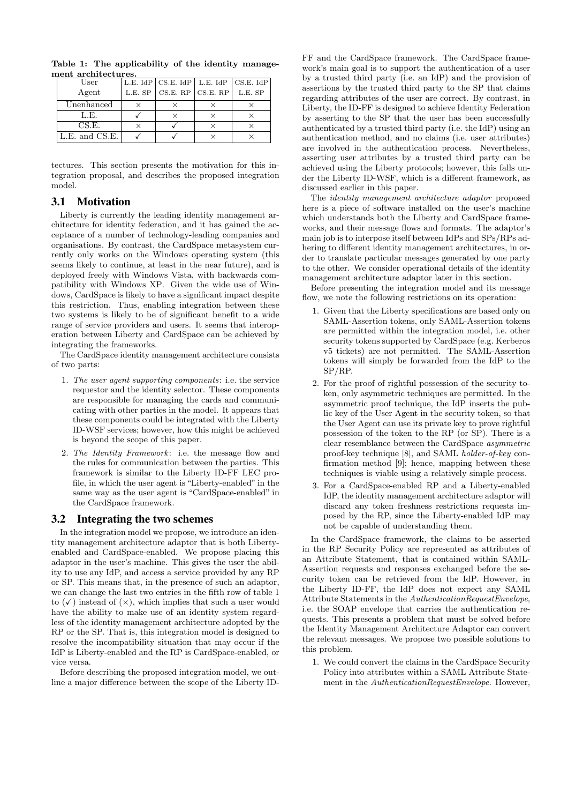| User           | L.E. $IdP$ CS.E. $IdP$ L.E. $IdP$ CS.E. $IdP$ |         |
|----------------|-----------------------------------------------|---------|
| Agent          | L.E. $SP \mid CS.E. RP \mid CS.E. RP$         | L.E. SP |
| Unenhanced     |                                               |         |
| L.E.           |                                               |         |
| CS.E.          |                                               |         |
| L.E. and CS.E. |                                               |         |

Table 1: The applicability of the identity management architectures.

tectures. This section presents the motivation for this integration proposal, and describes the proposed integration model.

## 3.1 Motivation

Liberty is currently the leading identity management architecture for identity federation, and it has gained the acceptance of a number of technology-leading companies and organisations. By contrast, the CardSpace metasystem currently only works on the Windows operating system (this seems likely to continue, at least in the near future), and is deployed freely with Windows Vista, with backwards compatibility with Windows XP. Given the wide use of Windows, CardSpace is likely to have a significant impact despite this restriction. Thus, enabling integration between these two systems is likely to be of significant benefit to a wide range of service providers and users. It seems that interoperation between Liberty and CardSpace can be achieved by integrating the frameworks.

The CardSpace identity management architecture consists of two parts:

- 1. The user agent supporting components: i.e. the service requestor and the identity selector. These components are responsible for managing the cards and communicating with other parties in the model. It appears that these components could be integrated with the Liberty ID-WSF services; however, how this might be achieved is beyond the scope of this paper.
- 2. The Identity Framework: i.e. the message flow and the rules for communication between the parties. This framework is similar to the Liberty ID-FF LEC profile, in which the user agent is "Liberty-enabled" in the same way as the user agent is "CardSpace-enabled" in the CardSpace framework.

#### 3.2 Integrating the two schemes

In the integration model we propose, we introduce an identity management architecture adaptor that is both Libertyenabled and CardSpace-enabled. We propose placing this adaptor in the user's machine. This gives the user the ability to use any IdP, and access a service provided by any RP or SP. This means that, in the presence of such an adaptor, we can change the last two entries in the fifth row of table 1 to  $(\checkmark)$  instead of  $(\times)$ , which implies that such a user would have the ability to make use of an identity system regardless of the identity management architecture adopted by the RP or the SP. That is, this integration model is designed to resolve the incompatibility situation that may occur if the IdP is Liberty-enabled and the RP is CardSpace-enabled, or vice versa.

Before describing the proposed integration model, we outline a major difference between the scope of the Liberty ID-

FF and the CardSpace framework. The CardSpace framework's main goal is to support the authentication of a user by a trusted third party (i.e. an IdP) and the provision of assertions by the trusted third party to the SP that claims regarding attributes of the user are correct. By contrast, in Liberty, the ID-FF is designed to achieve Identity Federation by asserting to the SP that the user has been successfully authenticated by a trusted third party (i.e. the IdP) using an authentication method, and no claims (i.e. user attributes) are involved in the authentication process. Nevertheless, asserting user attributes by a trusted third party can be achieved using the Liberty protocols; however, this falls under the Liberty ID-WSF, which is a different framework, as discussed earlier in this paper.

The identity management architecture adaptor proposed here is a piece of software installed on the user's machine which understands both the Liberty and CardSpace frameworks, and their message flows and formats. The adaptor's main job is to interpose itself between IdPs and SPs/RPs adhering to different identity management architectures, in order to translate particular messages generated by one party to the other. We consider operational details of the identity management architecture adaptor later in this section.

Before presenting the integration model and its message flow, we note the following restrictions on its operation:

- 1. Given that the Liberty specifications are based only on SAML-Assertion tokens, only SAML-Assertion tokens are permitted within the integration model, i.e. other security tokens supported by CardSpace (e.g. Kerberos v5 tickets) are not permitted. The SAML-Assertion tokens will simply be forwarded from the IdP to the SP/RP.
- 2. For the proof of rightful possession of the security token, only asymmetric techniques are permitted. In the asymmetric proof technique, the IdP inserts the public key of the User Agent in the security token, so that the User Agent can use its private key to prove rightful possession of the token to the RP (or SP). There is a clear resemblance between the CardSpace asymmetric proof-key technique [8], and SAML holder-of-key confirmation method [9]; hence, mapping between these techniques is viable using a relatively simple process.
- 3. For a CardSpace-enabled RP and a Liberty-enabled IdP, the identity management architecture adaptor will discard any token freshness restrictions requests imposed by the RP, since the Liberty-enabled IdP may not be capable of understanding them.

In the CardSpace framework, the claims to be asserted in the RP Security Policy are represented as attributes of an Attribute Statement, that is contained within SAML-Assertion requests and responses exchanged before the security token can be retrieved from the IdP. However, in the Liberty ID-FF, the IdP does not expect any SAML Attribute Statements in the AuthenticationRequestEnvelope, i.e. the SOAP envelope that carries the authentication requests. This presents a problem that must be solved before the Identity Management Architecture Adaptor can convert the relevant messages. We propose two possible solutions to this problem.

1. We could convert the claims in the CardSpace Security Policy into attributes within a SAML Attribute Statement in the AuthenticationRequestEnvelope. However,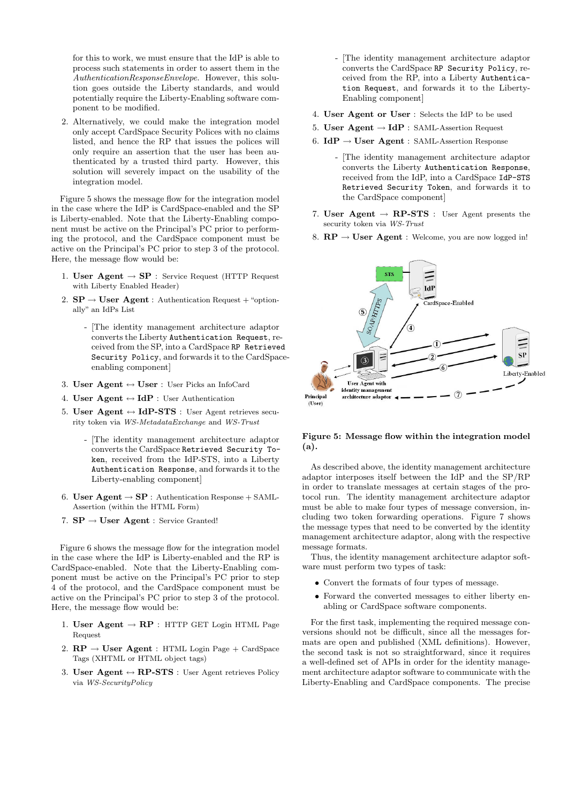for this to work, we must ensure that the IdP is able to process such statements in order to assert them in the AuthenticationResponseEnvelope. However, this solution goes outside the Liberty standards, and would potentially require the Liberty-Enabling software component to be modified.

2. Alternatively, we could make the integration model only accept CardSpace Security Polices with no claims listed, and hence the RP that issues the polices will only require an assertion that the user has been authenticated by a trusted third party. However, this solution will severely impact on the usability of the integration model.

Figure 5 shows the message flow for the integration model in the case where the IdP is CardSpace-enabled and the SP is Liberty-enabled. Note that the Liberty-Enabling component must be active on the Principal's PC prior to performing the protocol, and the CardSpace component must be active on the Principal's PC prior to step 3 of the protocol. Here, the message flow would be:

- 1. User  $Agent \rightarrow SP :$  Service Request (HTTP Request) with Liberty Enabled Header)
- 2.  $SP \rightarrow User Agent$ : Authentication Request + "optionally" an IdPs List
	- [The identity management architecture adaptor converts the Liberty Authentication Request, received from the SP, into a CardSpace RP Retrieved Security Policy, and forwards it to the CardSpaceenabling component]
- 3. User  $Agent \leftrightarrow User$ : User Picks an InfoCard
- 4. User Agent  $\leftrightarrow$  IdP : User Authentication
- 5. User  $Agent \leftrightarrow IdP-STS$ : User Agent retrieves security token via WS-MetadataExchange and WS-Trust
	- [The identity management architecture adaptor converts the CardSpace Retrieved Security Token, received from the IdP-STS, into a Liberty Authentication Response, and forwards it to the Liberty-enabling component]
- 6. User  $Agent \rightarrow SP:$  Authentication Response + SAML-Assertion (within the HTML Form)
- 7.  $SP \rightarrow User Agent$ : Service Granted!

Figure 6 shows the message flow for the integration model in the case where the IdP is Liberty-enabled and the RP is CardSpace-enabled. Note that the Liberty-Enabling component must be active on the Principal's PC prior to step 4 of the protocol, and the CardSpace component must be active on the Principal's PC prior to step 3 of the protocol. Here, the message flow would be:

- 1. User  $Agent \rightarrow RP$ : HTTP GET Login HTML Page Request
- 2.  $RP \rightarrow User Agent$ : HTML Login Page + CardSpace Tags (XHTML or HTML object tags)
- 3. User  $Agent \leftrightarrow RP\text{-}STS$ : User Agent retrieves Policy via WS-SecurityPolicy
- [The identity management architecture adaptor converts the CardSpace RP Security Policy, received from the RP, into a Liberty Authentication Request, and forwards it to the Liberty-Enabling component]
- 4. User Agent or User : Selects the IdP to be used
- 5. User  $Agent \rightarrow IdP$ : SAML-Assertion Request
- 6. Id $P \rightarrow$  User Agent : SAML-Assertion Response
	- [The identity management architecture adaptor converts the Liberty Authentication Response, received from the IdP, into a CardSpace IdP-STS Retrieved Security Token, and forwards it to the CardSpace component]
- 7. User Agent  $\rightarrow$  RP-STS : User Agent presents the security token via WS-Trust
- 8.  $\mathbf{RP} \rightarrow \mathbf{User~Agent}$  : Welcome, you are now logged in!



#### Figure 5: Message flow within the integration model (a).

As described above, the identity management architecture adaptor interposes itself between the IdP and the SP/RP in order to translate messages at certain stages of the protocol run. The identity management architecture adaptor must be able to make four types of message conversion, including two token forwarding operations. Figure 7 shows the message types that need to be converted by the identity management architecture adaptor, along with the respective message formats.

Thus, the identity management architecture adaptor software must perform two types of task:

- Convert the formats of four types of message.
- Forward the converted messages to either liberty enabling or CardSpace software components.

For the first task, implementing the required message conversions should not be difficult, since all the messages formats are open and published (XML definitions). However, the second task is not so straightforward, since it requires a well-defined set of APIs in order for the identity management architecture adaptor software to communicate with the Liberty-Enabling and CardSpace components. The precise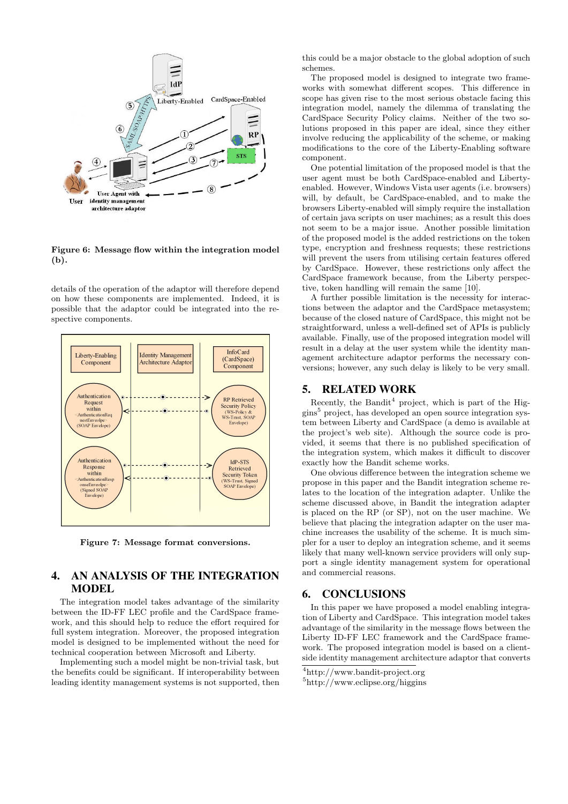

Figure 6: Message flow within the integration model (b).

details of the operation of the adaptor will therefore depend on how these components are implemented. Indeed, it is possible that the adaptor could be integrated into the respective components.



Figure 7: Message format conversions.

## 4. AN ANALYSIS OF THE INTEGRATION MODEL

The integration model takes advantage of the similarity between the ID-FF LEC profile and the CardSpace framework, and this should help to reduce the effort required for full system integration. Moreover, the proposed integration model is designed to be implemented without the need for technical cooperation between Microsoft and Liberty.

Implementing such a model might be non-trivial task, but the benefits could be significant. If interoperability between leading identity management systems is not supported, then

this could be a major obstacle to the global adoption of such schemes.

The proposed model is designed to integrate two frameworks with somewhat different scopes. This difference in scope has given rise to the most serious obstacle facing this integration model, namely the dilemma of translating the CardSpace Security Policy claims. Neither of the two solutions proposed in this paper are ideal, since they either involve reducing the applicability of the scheme, or making modifications to the core of the Liberty-Enabling software component.

One potential limitation of the proposed model is that the user agent must be both CardSpace-enabled and Libertyenabled. However, Windows Vista user agents (i.e. browsers) will, by default, be CardSpace-enabled, and to make the browsers Liberty-enabled will simply require the installation of certain java scripts on user machines; as a result this does not seem to be a major issue. Another possible limitation of the proposed model is the added restrictions on the token type, encryption and freshness requests; these restrictions will prevent the users from utilising certain features offered by CardSpace. However, these restrictions only affect the CardSpace framework because, from the Liberty perspective, token handling will remain the same [10].

A further possible limitation is the necessity for interactions between the adaptor and the CardSpace metasystem; because of the closed nature of CardSpace, this might not be straightforward, unless a well-defined set of APIs is publicly available. Finally, use of the proposed integration model will result in a delay at the user system while the identity management architecture adaptor performs the necessary conversions; however, any such delay is likely to be very small.

#### 5. RELATED WORK

Recently, the Bandit<sup>4</sup> project, which is part of the Hig- $\sin^5$  project, has developed an open source integration system between Liberty and CardSpace (a demo is available at the project's web site). Although the source code is provided, it seems that there is no published specification of the integration system, which makes it difficult to discover exactly how the Bandit scheme works.

One obvious difference between the integration scheme we propose in this paper and the Bandit integration scheme relates to the location of the integration adapter. Unlike the scheme discussed above, in Bandit the integration adapter is placed on the RP (or SP), not on the user machine. We believe that placing the integration adapter on the user machine increases the usability of the scheme. It is much simpler for a user to deploy an integration scheme, and it seems likely that many well-known service providers will only support a single identity management system for operational and commercial reasons.

#### 6. CONCLUSIONS

In this paper we have proposed a model enabling integration of Liberty and CardSpace. This integration model takes advantage of the similarity in the message flows between the Liberty ID-FF LEC framework and the CardSpace framework. The proposed integration model is based on a clientside identity management architecture adaptor that converts

<sup>5</sup>http://www.eclipse.org/higgins

<sup>4</sup>http://www.bandit-project.org